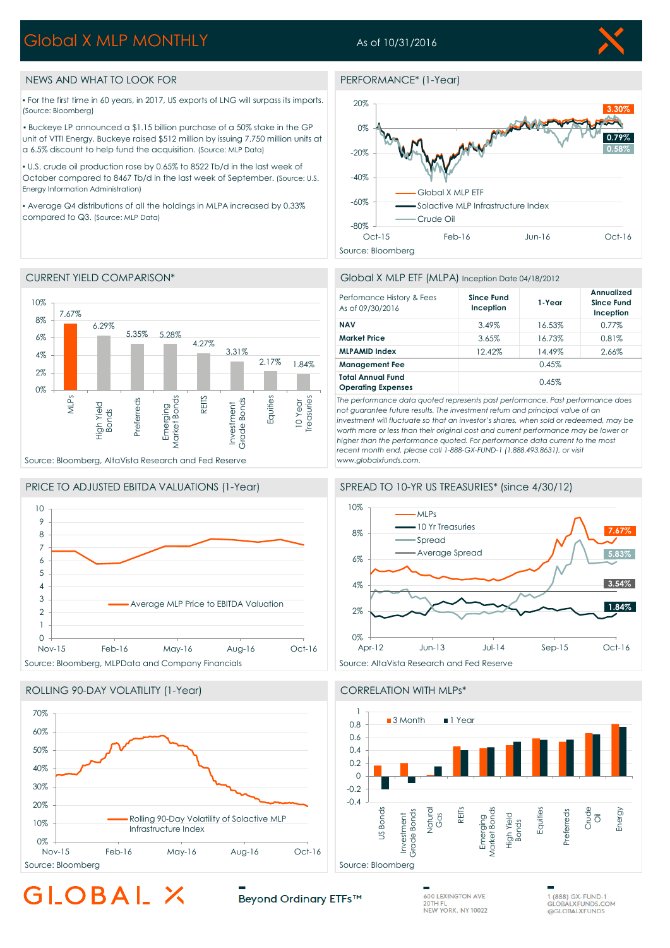# Global X MLP MONTHLY

## As of 10/31/2016

### NEWS AND WHAT TO LOOK FOR PERFORMANCE\* (1-Year)

▪ For the first time in 60 years, in 2017, US exports of LNG will surpass its imports. (Source: Bloomberg)

▪ Buckeye LP announced a \$1.15 billion purchase of a 50% stake in the GP unit of VTTI Energy. Buckeye raised \$512 million by issuing 7.750 million units at a 6.5% discount to help fund the acquisition. (Source: MLP Data)

▪ U.S. crude oil production rose by 0.65% to 8522 Tb/d in the last week of October compared to 8467 Tb/d in the last week of September. (Source: U.S. Energy Information Administration)

▪ Average Q4 distributions of all the holdings in MLPA increased by 0.33% compared to Q3. (Source: MLP Data)

### 10% 7.67% 8% 6.29% 5.35% 5.28% 6% 4.27% 3.31% 4% 2.17% 1.84% 2% 0% 10 Year<br>Treasuries REITS MLPs Market Bonds Equities Market Bonds Treasuries Preferreds Preferreds Grade Bonds Grade Bonds High Yield Emerging nvestment Investment Bonds

### PRICE TO ADJUSTED EBITDA VALUATIONS (1-Year) SPREAD TO 10-YR US TREASURIES\* (since 4/30/12)

Source: Bloomberg, AltaVista Research and Fed Reserve



### ROLLING 90-DAY VOLATILITY (1-Year) CORRELATION WITH MLPs\*





### CURRENT YIELD COMPARISON\* Global X MLP ETF (MLPA) Inception Date 04/18/2012

| Perfomance History & Fees<br>As of 09/30/2016         | <b>Since Fund</b><br>Inception | 1-Year | Annualized<br>Since Fund<br>Inception |
|-------------------------------------------------------|--------------------------------|--------|---------------------------------------|
| <b>NAV</b>                                            | 3.49%                          | 16.53% | 0.77%                                 |
| <b>Market Price</b>                                   | 3.65%                          | 16.73% | 0.81%                                 |
| <b>MLPAMID Index</b>                                  | 12.42%                         | 14.49% | 2.66%                                 |
| <b>Management Fee</b>                                 | 0.45%                          |        |                                       |
| <b>Total Annual Fund</b><br><b>Operating Expenses</b> | 0.45%                          |        |                                       |

*The performance data quoted represents past performance. Past performance does not guarantee future results. The investment return and principal value of an investment will fluctuate so that an investor's shares, when sold or redeemed, may be worth more or less than their original cost and current performance may be lower or higher than the performance quoted. For performance data current to the most recent month end, please call 1-888-GX-FUND-1 (1.888.493.8631), or visit www.globalxfunds.com.*





GLOBAL.

Beyond Ordinary ETFs™

**600 LEXINGTON AVE**  $20THF$ NEW YORK, NY 10022

1 (888) GX-FUND-1 GLOBALXFUNDS.COM